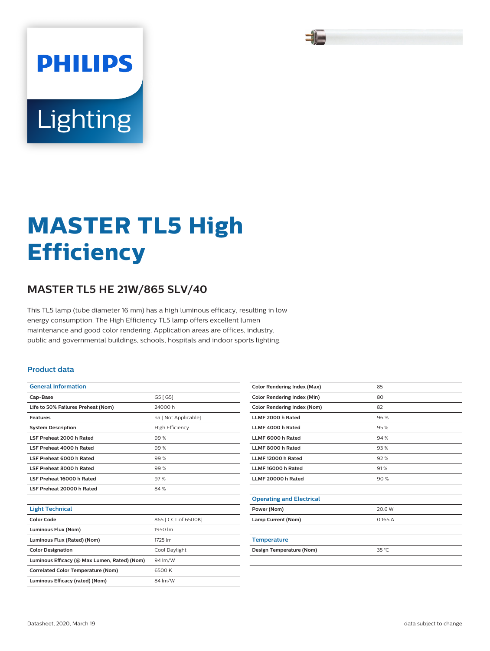# **PHILIPS** Lighting

## **MASTER TL5 High Efficiency**

### **MASTER TL5 HE 21W/865 SLV/40**

This TL5 lamp (tube diameter 16 mm) has a high luminous efficacy, resulting in low energy consumption. The High Efficiency TL5 lamp offers excellent lumen maintenance and good color rendering. Application areas are offices, industry, public and governmental buildings, schools, hospitals and indoor sports lighting.

#### **Product data**

| <b>General Information</b>         |                      |  |  |
|------------------------------------|----------------------|--|--|
| Cap-Base                           | G5 [G5]              |  |  |
| Life to 50% Failures Preheat (Nom) | 24000 h              |  |  |
| <b>Features</b>                    | na [ Not Applicable] |  |  |
| <b>System Description</b>          | High Efficiency      |  |  |
| LSF Preheat 2000 h Rated           | 99%                  |  |  |
| LSF Preheat 4000 h Rated           | 99%                  |  |  |
| LSF Preheat 6000 h Rated           | 99%                  |  |  |
| LSF Preheat 8000 h Rated           | 99%                  |  |  |
| LSF Preheat 16000 h Rated          | 97%                  |  |  |
| LSF Preheat 20000 h Rated          | 84%                  |  |  |
|                                    |                      |  |  |

| <b>Light Technical</b>                       |                     |
|----------------------------------------------|---------------------|
| Color Code                                   | 865   CCT of 6500K] |
| Luminous Flux (Nom)                          | 1950 lm             |
| Luminous Flux (Rated) (Nom)                  | 1725 lm             |
| <b>Color Designation</b>                     | Cool Davlight       |
| Luminous Efficacy (@ Max Lumen, Rated) (Nom) | 94 lm/W             |
| <b>Correlated Color Temperature (Nom)</b>    | 6500 K              |
| Luminous Efficacy (rated) (Nom)              | 84 lm/W             |

| <b>Color Rendering Index (Max)</b> | 85     |
|------------------------------------|--------|
| <b>Color Rendering Index (Min)</b> | 80     |
| Color Rendering Index (Nom)        | 82     |
| LLMF 2000 h Rated                  | 96%    |
| LLMF 4000 h Rated                  | 95%    |
| LLMF 6000 h Rated                  | 94 %   |
| LLMF 8000 h Rated                  | 93%    |
| LLMF 12000 h Rated                 | 92%    |
| LLMF 16000 h Rated                 | 91%    |
| LLMF 20000 h Rated                 | 90%    |
|                                    |        |
| <b>Operating and Electrical</b>    |        |
| Power (Nom)                        | 20.6 W |
| Lamp Current (Nom)                 | 0.165A |
|                                    |        |
| <b>Temperature</b>                 |        |
| Design Temperature (Nom)           | 35 °C  |
|                                    |        |
|                                    |        |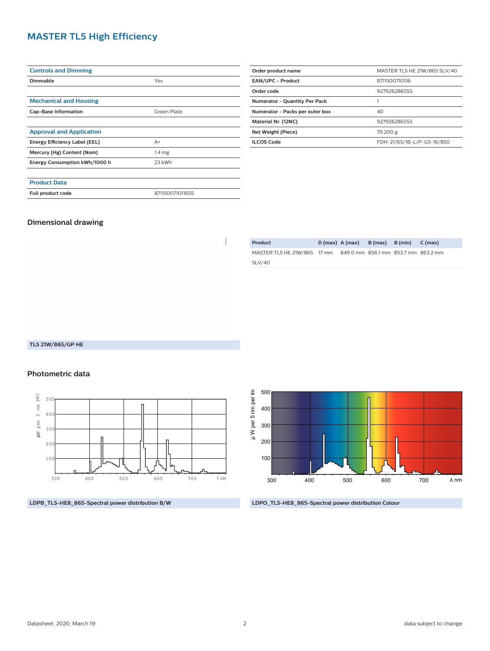#### **MASTER TL5 High Efficiency**

| <b>Controls and Dimming</b>     |                   |
|---------------------------------|-------------------|
| Dimmable                        | Yes               |
|                                 |                   |
| <b>Mechanical and Housing</b>   |                   |
| <b>Cap-Base Information</b>     | Green Plate       |
|                                 |                   |
| <b>Approval and Application</b> |                   |
| Energy Efficiency Label (EEL)   | $A+$              |
| Mercury (Hg) Content (Nom)      | 1.4 <sub>mg</sub> |
| Energy Consumption kWh/1000 h   | 23 kWh            |
|                                 |                   |
| <b>Product Data</b>             |                   |
| Full product code               | 871150071011655   |

| Order product name                   | MASTER TL5 HE 21W/865 SLV/40 |  |  |  |
|--------------------------------------|------------------------------|--|--|--|
| <b>EAN/UPC - Product</b>             | 8711500710116                |  |  |  |
| Order code                           | 927926286555                 |  |  |  |
| <b>Numerator - Quantity Per Pack</b> |                              |  |  |  |
| Numerator - Packs per outer box      | 40                           |  |  |  |
| Material Nr. (12NC)                  | 927926286555                 |  |  |  |
| Net Weight (Piece)                   | 79.200 g                     |  |  |  |
| <b>ILCOS Code</b>                    | FDH-21/65/1B-L/P-G5-16/850   |  |  |  |

#### **Dimensional drawing**

 $\begin{array}{c} \hline \end{array}$ 

| Product                     | $D(max)$ $A(max)$ |                                     | $B(max)$ $B(min)$ | C (max) |
|-----------------------------|-------------------|-------------------------------------|-------------------|---------|
| MASTER TL5 HE 21W/865 17 mm |                   | 849.0 mm 856.1 mm 853.7 mm 863.2 mm |                   |         |
| SLV/40                      |                   |                                     |                   |         |

#### **TL5 21W/865/GP HE**

#### **Photometric data**



**LDPB\_TL5-HE8\_865-Spectral power distribution B/W**